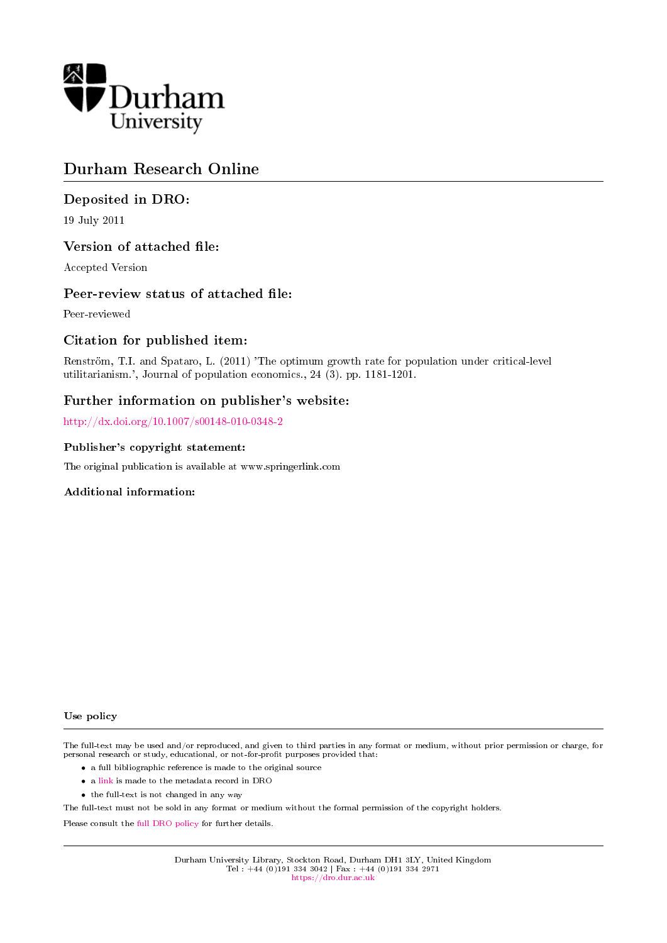

# Durham Research Online

# Deposited in DRO:

19 July 2011

### Version of attached file:

Accepted Version

### Peer-review status of attached file:

Peer-reviewed

# Citation for published item:

Renström, T.I. and Spataro, L. (2011) 'The optimum growth rate for population under critical-level utilitarianism.', Journal of population economics., 24 (3). pp. 1181-1201.

### Further information on publisher's website:

<http://dx.doi.org/10.1007/s00148-010-0348-2>

### Publisher's copyright statement:

The original publication is available at www.springerlink.com

### Additional information:

#### Use policy

The full-text may be used and/or reproduced, and given to third parties in any format or medium, without prior permission or charge, for personal research or study, educational, or not-for-profit purposes provided that:

- a full bibliographic reference is made to the original source
- a [link](http://dro.dur.ac.uk/8461/) is made to the metadata record in DRO
- the full-text is not changed in any way

The full-text must not be sold in any format or medium without the formal permission of the copyright holders.

Please consult the [full DRO policy](https://dro.dur.ac.uk/policies/usepolicy.pdf) for further details.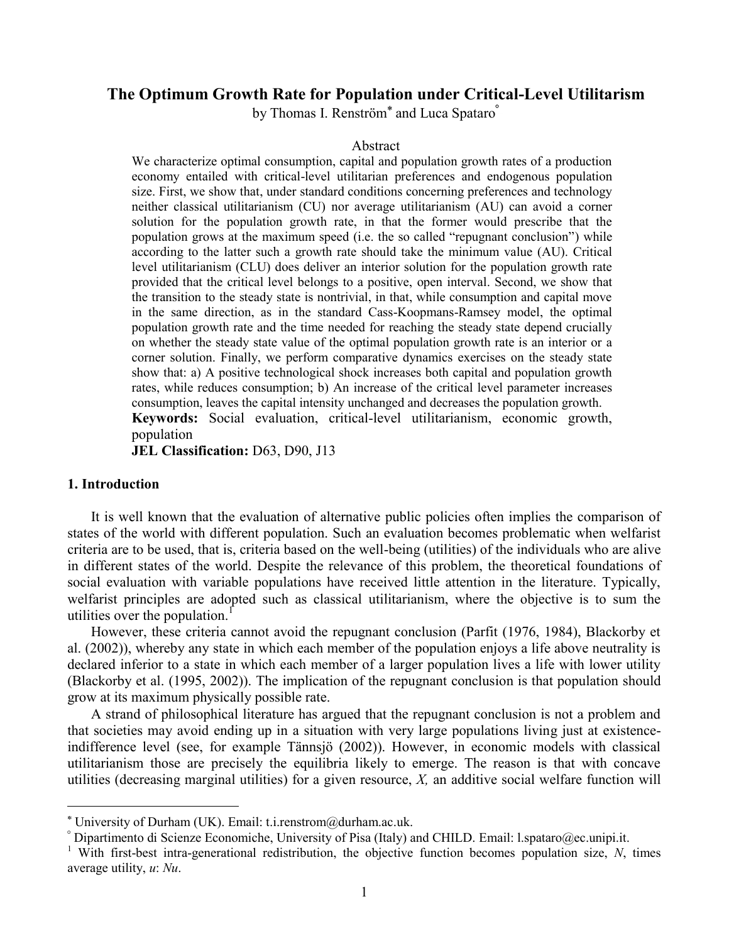# **The Optimum Growth Rate for Population under Critical-Level Utilitarism**

by Thomas I. Renström<sup>\*</sup> and Luca Spataro<sup>®</sup>

### Abstract

We characterize optimal consumption, capital and population growth rates of a production economy entailed with critical-level utilitarian preferences and endogenous population size. First, we show that, under standard conditions concerning preferences and technology neither classical utilitarianism (CU) nor average utilitarianism (AU) can avoid a corner solution for the population growth rate, in that the former would prescribe that the population grows at the maximum speed (i.e. the so called "repugnant conclusion") while according to the latter such a growth rate should take the minimum value (AU). Critical level utilitarianism (CLU) does deliver an interior solution for the population growth rate provided that the critical level belongs to a positive, open interval. Second, we show that the transition to the steady state is nontrivial, in that, while consumption and capital move in the same direction, as in the standard Cass-Koopmans-Ramsey model, the optimal population growth rate and the time needed for reaching the steady state depend crucially on whether the steady state value of the optimal population growth rate is an interior or a corner solution. Finally, we perform comparative dynamics exercises on the steady state show that: a) A positive technological shock increases both capital and population growth rates, while reduces consumption; b) An increase of the critical level parameter increases consumption, leaves the capital intensity unchanged and decreases the population growth.

**Keywords:** Social evaluation, critical-level utilitarianism, economic growth, population

**JEL Classification:** D63, D90, J13

### **1. Introduction**

 $\overline{a}$ 

It is well known that the evaluation of alternative public policies often implies the comparison of states of the world with different population. Such an evaluation becomes problematic when welfarist criteria are to be used, that is, criteria based on the well-being (utilities) of the individuals who are alive in different states of the world. Despite the relevance of this problem, the theoretical foundations of social evaluation with variable populations have received little attention in the literature. Typically, welfarist principles are adopted such as classical utilitarianism, where the objective is to sum the utilities over the population.<sup>1</sup>

However, these criteria cannot avoid the repugnant conclusion (Parfit (1976, 1984), Blackorby et al. (2002)), whereby any state in which each member of the population enjoys a life above neutrality is declared inferior to a state in which each member of a larger population lives a life with lower utility (Blackorby et al. (1995, 2002)). The implication of the repugnant conclusion is that population should grow at its maximum physically possible rate.

A strand of philosophical literature has argued that the repugnant conclusion is not a problem and that societies may avoid ending up in a situation with very large populations living just at existenceindifference level (see, for example Tännsjö (2002)). However, in economic models with classical utilitarianism those are precisely the equilibria likely to emerge. The reason is that with concave utilities (decreasing marginal utilities) for a given resource, *X,* an additive social welfare function will

University of Durham (UK). Email: t.i.renstrom@durham.ac.uk.

Dipartimento di Scienze Economiche, University of Pisa (Italy) and CHILD. Email: l.spataro@ec.unipi.it.

<sup>1</sup> With first-best intra-generational redistribution, the objective function becomes population size, *N*, times average utility, *u*: *Nu*.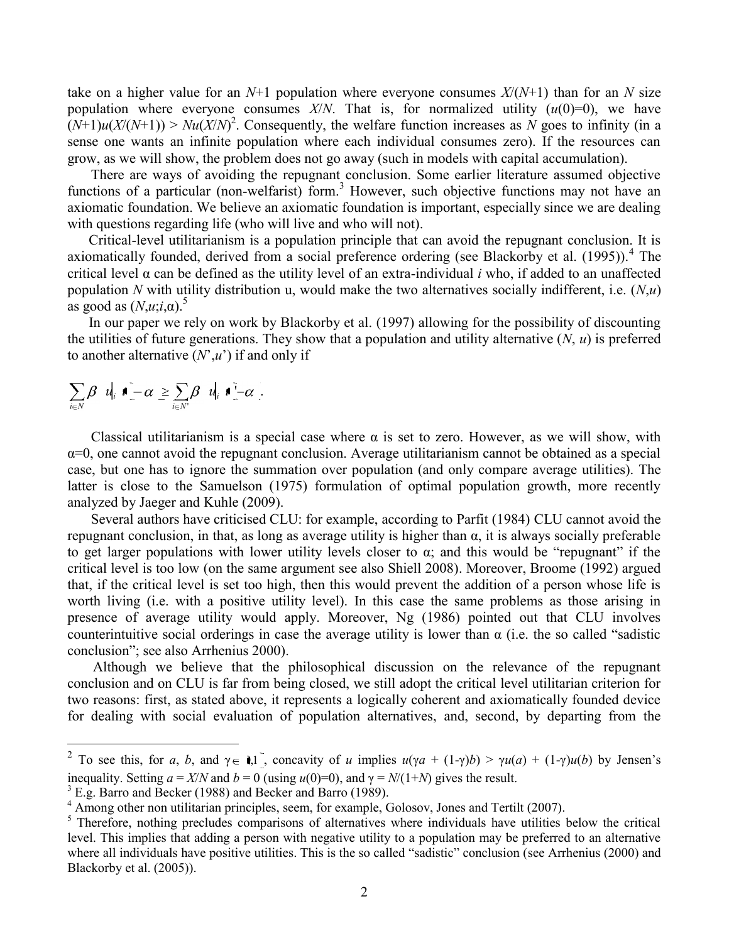take on a higher value for an  $N+1$  population where everyone consumes  $X/(N+1)$  than for an N size population where everyone consumes  $X/N$ . That is, for normalized utility  $(u(0)=0)$ , we have  $(N+1)u(X(N+1)) > Nu(X/N)^2$ . Consequently, the welfare function increases as N goes to infinity (in a sense one wants an infinite population where each individual consumes zero). If the resources can grow, as we will show, the problem does not go away (such in models with capital accumulation).

There are ways of avoiding the repugnant conclusion. Some earlier literature assumed objective functions of a particular (non-welfarist) form.<sup>3</sup> However, such objective functions may not have an axiomatic foundation. We believe an axiomatic foundation is important, especially since we are dealing with questions regarding life (who will live and who will not).

Critical-level utilitarianism is a population principle that can avoid the repugnant conclusion. It is axiomatically founded, derived from a social preference ordering (see Blackorby et al.  $(1995)$ ).<sup>4</sup> The critical level  $\alpha$  can be defined as the utility level of an extra-individual *i* who, if added to an unaffected population *N* with utility distribution u, would make the two alternatives socially indifferent, i.e. (*N*,*u*) as good as  $(N, u; i, \alpha)$ .<sup>5</sup>

In our paper we rely on work by Blackorby et al. (1997) allowing for the possibility of discounting the utilities of future generations. They show that a population and utility alternative  $(N, u)$  is preferred to another alternative  $(N^{\prime}, u^{\prime})$  if and only if

$$
\sum_{i\in N}\beta \quad u_i \quad \bullet \quad -\alpha \geq \sum_{i\in N'}\beta \quad u_i \quad \bullet \quad -\alpha \quad .
$$

Classical utilitarianism is a special case where  $\alpha$  is set to zero. However, as we will show, with  $\alpha$ =0, one cannot avoid the repugnant conclusion. Average utilitarianism cannot be obtained as a special case, but one has to ignore the summation over population (and only compare average utilities). The latter is close to the Samuelson (1975) formulation of optimal population growth, more recently analyzed by Jaeger and Kuhle (2009).

Several authors have criticised CLU: for example, according to Parfit (1984) CLU cannot avoid the repugnant conclusion, in that, as long as average utility is higher than α, it is always socially preferable to get larger populations with lower utility levels closer to  $\alpha$ ; and this would be "repugnant" if the critical level is too low (on the same argument see also Shiell 2008). Moreover, Broome (1992) argued that, if the critical level is set too high, then this would prevent the addition of a person whose life is worth living (i.e. with a positive utility level). In this case the same problems as those arising in presence of average utility would apply. Moreover, Ng (1986) pointed out that CLU involves counterintuitive social orderings in case the average utility is lower than  $\alpha$  (i.e. the so called "sadistic conclusion"; see also Arrhenius 2000).

Although we believe that the philosophical discussion on the relevance of the repugnant conclusion and on CLU is far from being closed, we still adopt the critical level utilitarian criterion for two reasons: first, as stated above, it represents a logically coherent and axiomatically founded device for dealing with social evaluation of population alternatives, and, second, by departing from the

<sup>&</sup>lt;sup>2</sup> To see this, for *a*, *b*, and γ∈ **a**, **i**, concavity of *u* implies *u*(γ*a* + (1-γ)*b*) > γ*u*(*a*) + (1-γ)*u*(*b*) by Jensen's inequality. Setting  $a = X/N$  and  $b = 0$  (using  $u(0)=0$ ), and  $\gamma = N/(1+N)$  gives the result.

<sup>&</sup>lt;sup>3</sup> E.g. Barro and Becker (1988) and Becker and Barro (1989).

<sup>&</sup>lt;sup>4</sup> Among other non utilitarian principles, seem, for example, Golosov, Jones and Tertilt (2007).

<sup>&</sup>lt;sup>5</sup> Therefore, nothing precludes comparisons of alternatives where individuals have utilities below the critical level. This implies that adding a person with negative utility to a population may be preferred to an alternative where all individuals have positive utilities. This is the so called "sadistic" conclusion (see Arrhenius (2000) and Blackorby et al. (2005)).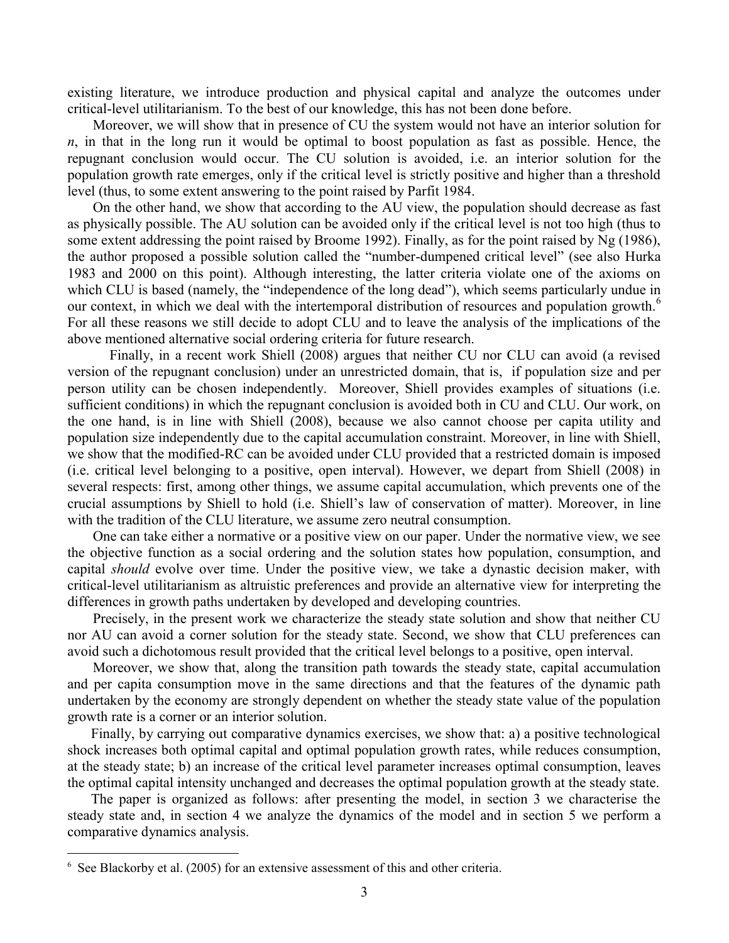existing literature, we introduce production and physical capital and analyze the outcomes under critical-level utilitarianism. To the best of our knowledge, this has not been done before.

Moreover, we will show that in presence of CU the system would not have an interior solution for  $n<sub>1</sub>$ , in that in the long run it would be optimal to boost population as fast as possible. Hence, the repugnant conclusion would occur. The CU solution is avoided, i.e. an interior solution for the population growth rate emerges, only if the critical level is strictly positive and higher than a threshold level (thus, to some extent answering to the point raised by Parfit 1984.

On the other hand, we show that according to the AU view, the population should decrease as fast as physically possible. The AU solution can be avoided only if the critical level is not too high (thus to some extent addressing the point raised by Broome 1992). Finally, as for the point raised by Ng (1986), the author proposed a possible solution called the "number-dumpened critical level" (see also Hurka 1983 and 2000 on this point). Although interesting, the latter criteria violate one of the axioms on which CLU is based (namely, the "independence of the long dead"), which seems particularly undue in our context, in which we deal with the intertemporal distribution of resources and population growth.<sup>6</sup> For all these reasons we still decide to adopt CLU and to leave the analysis of the implications of the above mentioned alternative social ordering criteria for future research.

Finally, in a recent work Shiell (2008) argues that neither CU nor CLU can avoid (a revised version of the repugnant conclusion) under an unrestricted domain, that is, if population size and per person utility can be chosen independently. Moreover, Shiell provides examples of situations (i.e. sufficient conditions) in which the repugnant conclusion is avoided both in CU and CLU. Our work, on the one hand, is in line with Shiell (2008), because we also cannot choose per capita utility and population size independently due to the capital accumulation constraint. Moreover, in line with Shiell, we show that the modified-RC can be avoided under CLU provided that a restricted domain is imposed (i.e. critical level belonging to a positive, open interval). However, we depart from Shiell (2008) in several respects: first, among other things, we assume capital accumulation, which prevents one of the crucial assumptions by Shiell to hold (i.e. Shiell"s law of conservation of matter). Moreover, in line with the tradition of the CLU literature, we assume zero neutral consumption.

One can take either a normative or a positive view on our paper. Under the normative view, we see the objective function as a social ordering and the solution states how population, consumption, and capital *should* evolve over time. Under the positive view, we take a dynastic decision maker, with critical-level utilitarianism as altruistic preferences and provide an alternative view for interpreting the differences in growth paths undertaken by developed and developing countries.

Precisely, in the present work we characterize the steady state solution and show that neither CU nor AU can avoid a corner solution for the steady state. Second, we show that CLU preferences can avoid such a dichotomous result provided that the critical level belongs to a positive, open interval.

Moreover, we show that, along the transition path towards the steady state, capital accumulation and per capita consumption move in the same directions and that the features of the dynamic path undertaken by the economy are strongly dependent on whether the steady state value of the population growth rate is a corner or an interior solution.

Finally, by carrying out comparative dynamics exercises, we show that: a) a positive technological shock increases both optimal capital and optimal population growth rates, while reduces consumption, at the steady state; b) an increase of the critical level parameter increases optimal consumption, leaves the optimal capital intensity unchanged and decreases the optimal population growth at the steady state.

The paper is organized as follows: after presenting the model, in section 3 we characterise the steady state and, in section 4 we analyze the dynamics of the model and in section 5 we perform a comparative dynamics analysis.

 $\overline{a}$ 

<sup>6</sup> See Blackorby et al. (2005) for an extensive assessment of this and other criteria.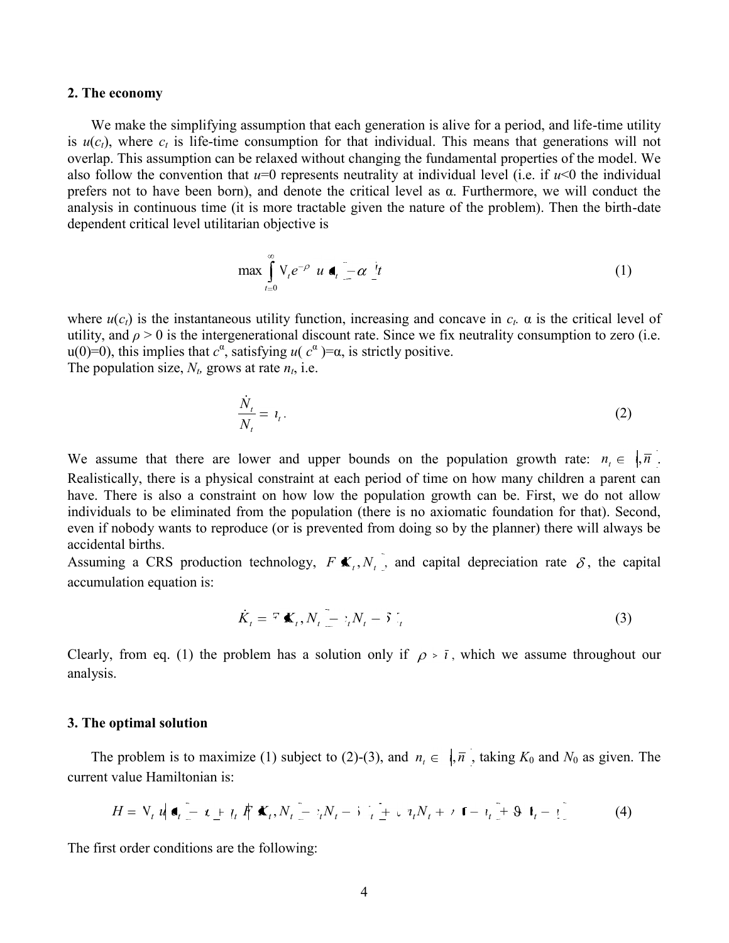### **2. The economy**

We make the simplifying assumption that each generation is alive for a period, and life-time utility is  $u(c_t)$ , where  $c_t$  is life-time consumption for that individual. This means that generations will not overlap. This assumption can be relaxed without changing the fundamental properties of the model. We also follow the convention that  $u=0$  represents neutrality at individual level (i.e. if  $u<0$  the individual prefers not to have been born), and denote the critical level as  $\alpha$ . Furthermore, we will conduct the analysis in continuous time (it is more tractable given the nature of the problem). Then the birth-date dependent critical level utilitarian objective is

$$
\max \int_{t=0}^{\infty} V_t e^{-\rho} u \, d_t = \alpha \, \underline{t} t \tag{1}
$$

where  $u(c_t)$  is the instantaneous utility function, increasing and concave in  $c_t$ .  $\alpha$  is the critical level of utility, and  $\rho > 0$  is the intergenerational discount rate. Since we fix neutrality consumption to zero (i.e. u(0)=0), this implies that  $c^{\alpha}$ , satisfying *u*( $c^{\alpha}$ )=α, is strictly positive. The population size,  $N_t$ , grows at rate  $n_t$ , i.e.

$$
\frac{\dot{N}_t}{N_t} = \mathbf{1}_t. \tag{2}
$$

We assume that there are lower and upper bounds on the population growth rate:  $n<sub>t</sub> \in \left[ \sqrt{n} \right]$ . Realistically, there is a physical constraint at each period of time on how many children a parent can have. There is also a constraint on how low the population growth can be. First, we do not allow individuals to be eliminated from the population (there is no axiomatic foundation for that). Second, even if nobody wants to reproduce (or is prevented from doing so by the planner) there will always be accidental births.

Assuming a CRS production technology,  $F(X_t, N_t)$ , and capital depreciation rate  $\delta$ , the capital accumulation equation is:

$$
\dot{K}_t = \nabla \mathbf{K}_t, N_t = \dot{K}_t - \delta \dot{K}_t \tag{3}
$$

Clearly, from eq. (1) the problem has a solution only if  $\rho > \bar{i}$ , which we assume throughout our analysis.

### **3. The optimal solution**

The problem is to maximize (1) subject to (2)-(3), and  $n<sub>t</sub> \in \int_{0}^{\infty} \pi$ , taking  $K_0$  and  $N_0$  as given. The current value Hamiltonian is:

$$
H = \nabla_t u \cdot \mathbf{d} \cdot \mathbf{I}_t - \mathbf{L} + \mathbf{I}_t \cdot \mathbf{A} \cdot \mathbf{K}_t, N_t = \nabla_t N_t - \nabla_t \cdot \mathbf{I}_t + \nabla_t N_t + \nabla_t \cdot \mathbf{I} - \mathbf{I}_t + \nabla_t \cdot \mathbf{I}_t - \mathbf{I}_t
$$
\n<sup>(4)</sup>

The first order conditions are the following: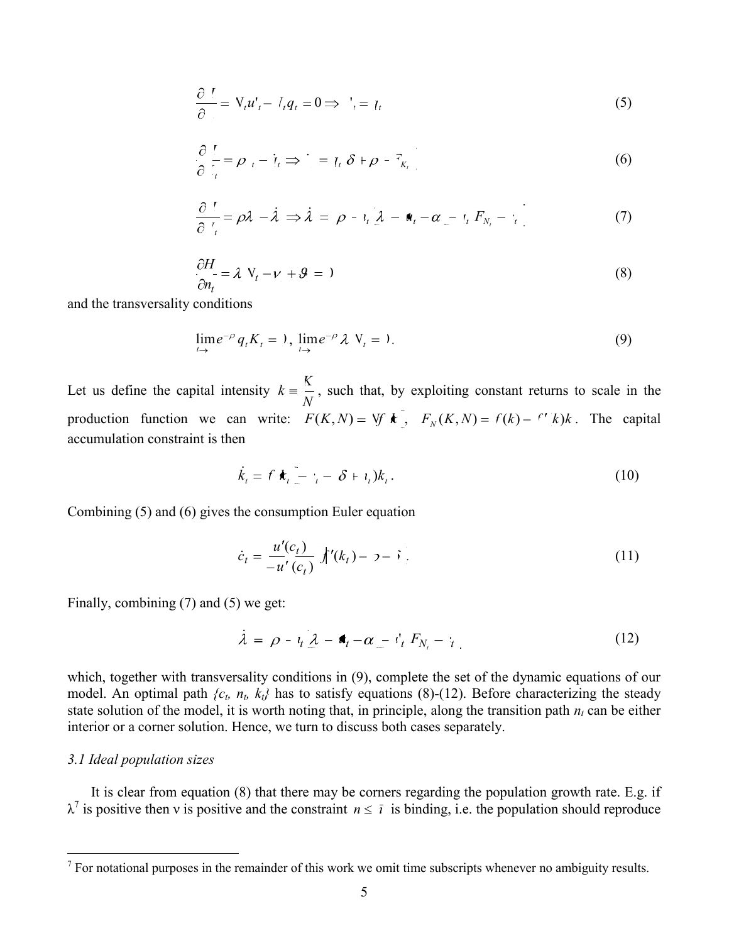$$
\frac{\partial}{\partial t} = V_t u'_t - I_t q_t = 0 \Rightarrow \quad t = \gamma_t \tag{5}
$$

$$
\frac{\partial}{\partial t_i} = \rho_{t_i} - i_t \Rightarrow t_i \quad \delta + \rho - \bar{r}_{K_i}
$$
\n
$$
(6)
$$

$$
\frac{\partial I}{\partial r_i} = \rho \lambda - \lambda \Rightarrow \lambda = \rho - \iota_t \lambda - \mathbf{w}_t - \alpha - \iota_t F_{N_t} - \iota_t
$$
 (7)

$$
\frac{\partial H}{\partial n_t} = \lambda V_t - V + \theta = 0 \tag{8}
$$

and the transversality conditions

$$
\lim_{t \to} e^{-\rho} q_t K_t = 1, \lim_{t \to} e^{-\rho} \lambda N_t = 1.
$$
 (9)

Let us define the capital intensity *N*  $k = \frac{K}{\sqrt{2}}$ , such that, by exploiting constant returns to scale in the production function we can write:  $F(K,N) = \forall f \mathbf{k}, F_N(K,N) = f(k) - f'(k)k$ . The capital accumulation constraint is then

$$
\dot{k}_t = f \mathbf{t}_t - \dot{\mathbf{t}}_t - \delta + \mathbf{t}_t) k_t. \tag{10}
$$

Combining (5) and (6) gives the consumption Euler equation

$$
\dot{c}_t = \frac{u'(c_t)}{-u'(c_t)} \int_0^t (k_t) - 5 \tag{11}
$$

Finally, combining (7) and (5) we get:

$$
\lambda = \rho - i_t \lambda - \mathbf{M}_t - \alpha - i_t F_{N_t} - i_t
$$
 (12)

which, together with transversality conditions in (9), complete the set of the dynamic equations of our model. An optimal path  ${c_t, n_t, k_t}$  has to satisfy equations (8)-(12). Before characterizing the steady state solution of the model, it is worth noting that, in principle, along the transition path  $n_t$  can be either interior or a corner solution. Hence, we turn to discuss both cases separately.

# *3.1 Ideal population sizes*

It is clear from equation (8) that there may be corners regarding the population growth rate. E.g. if  $\lambda^7$  is positive then v is positive and the constraint  $n \leq \bar{i}$  is binding, i.e. the population should reproduce

<sup>&</sup>lt;sup>7</sup> For notational purposes in the remainder of this work we omit time subscripts whenever no ambiguity results.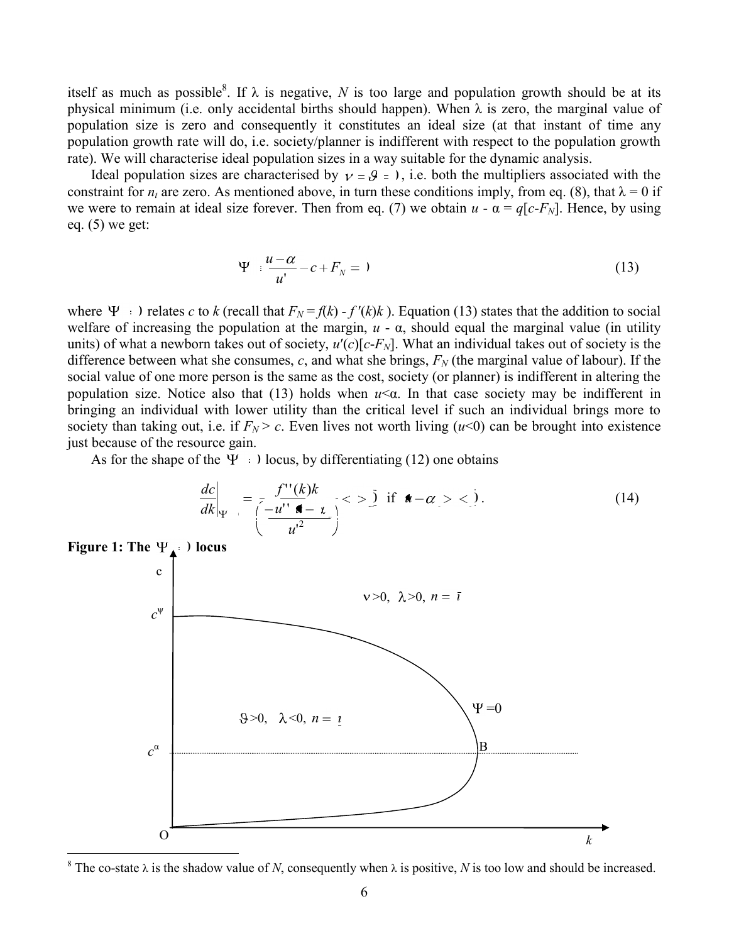itself as much as possible<sup>8</sup>. If  $\lambda$  is negative, N is too large and population growth should be at its physical minimum (i.e. only accidental births should happen). When  $\lambda$  is zero, the marginal value of population size is zero and consequently it constitutes an ideal size (at that instant of time any population growth rate will do, i.e. society/planner is indifferent with respect to the population growth rate). We will characterise ideal population sizes in a way suitable for the dynamic analysis.

Ideal population sizes are characterised by  $v = \mathcal{G} = 0$ , i.e. both the multipliers associated with the constraint for  $n_t$  are zero. As mentioned above, in turn these conditions imply, from eq. (8), that  $\lambda = 0$  if we were to remain at ideal size forever. Then from eq. (7) we obtain  $u - \alpha = q[c - F_N]$ . Hence, by using eq.  $(5)$  we get:

$$
\Psi : \frac{u - \alpha}{u'} - c + F_N = 0 \tag{13}
$$

where  $\Psi$  : ) relates *c* to *k* (recall that  $F_N = f(k) - f'(k)k$ ). Equation (13) states that the addition to social welfare of increasing the population at the margin,  $u - \alpha$ , should equal the marginal value (in utility units) of what a newborn takes out of society,  $u'(c)[c-F_N]$ . What an individual takes out of society is the difference between what she consumes,  $c$ , and what she brings,  $F<sub>N</sub>$  (the marginal value of labour). If the social value of one more person is the same as the cost, society (or planner) is indifferent in altering the population size. Notice also that (13) holds when  $u<\alpha$ . In that case society may be indifferent in bringing an individual with lower utility than the critical level if such an individual brings more to society than taking out, i.e. if  $F_N$  >  $c$ . Even lives not worth living  $(u<0)$  can be brought into existence just because of the resource gain.

As for the shape of the  $\Psi$  : ) locus, by differentiating (12) one obtains

$$
\left. \frac{dc}{dk} \right|_{\Psi} = \frac{f''(k)k}{\left( \frac{-u'' \mathbf{d} - \iota}{u'^2} \right)} < \frac{1}{2} \quad \text{if} \quad \mathbf{M} - \alpha > \frac{1}{2} \,. \tag{14}
$$



<sup>&</sup>lt;sup>8</sup> The co-state  $\lambda$  is the shadow value of *N*, consequently when  $\lambda$  is positive, *N* is too low and should be increased.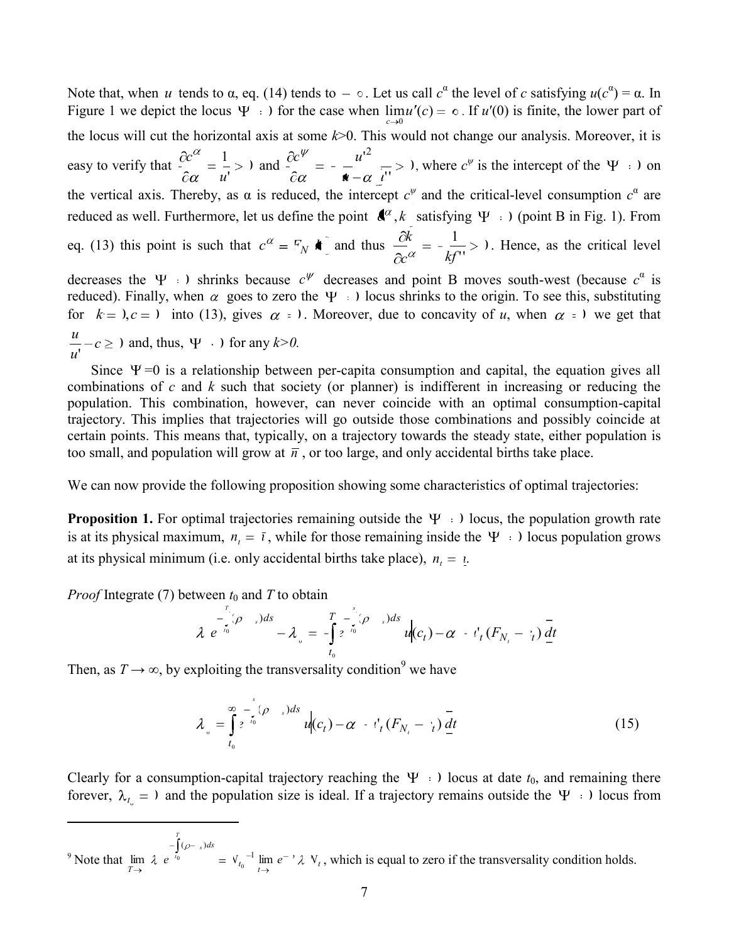Note that, when *u* tends to  $\alpha$ , eq. (14) tends to  $-\circ$ . Let us call  $c^{\alpha}$  the level of *c* satisfying  $u(c^{\alpha}) = \alpha$ . In Figure 1 we depict the locus  $\Psi$  : ) for the case when  $\lim u'(c) = \circ$ . If  $u'(0)$  is finite, the lower part of  $c\rightarrow 0$ the locus will cut the horizontal axis at some *k*>0. This would not change our analysis. Moreover, it is easy to verify that  $\frac{\partial c}{\partial \alpha} = \frac{1}{u'} > 0$ 1 *u*  $\frac{c^{2}}{c^{2}}\frac{1}{u'}$  > 1 and  $\frac{\partial c^{\psi}}{\partial \alpha} = -\frac{u'^{2}}{1 - \alpha}$  iv > 1  $\mathbf{r}$  $u - \alpha$  *u*  $\frac{c^{\psi}}{c} = -\frac{u'^2}{\psi} > 0$ , where  $c^{\psi}$  is the intercept of the  $\Psi \to 0$  on the vertical axis. Thereby, as  $\alpha$  is reduced, the intercept  $c^{\psi}$  and the critical-level consumption  $c^{\alpha}$  are reduced as well. Furthermore, let us define the point  $\mathbf{A}^{\alpha}$ , *k* satisfying  $\Psi$  : ) (point B in Fig. 1). From eq. (13) this point is such that  $c^{\alpha} = F_N \triangleleft r$  and thus  $\frac{c^{\alpha}}{\partial c^{\alpha}} = -\frac{1}{kf^{\alpha}} > 0$ 1  $c^{\alpha}$  *kf*  $\frac{k}{k}$  =  $-\frac{1}{k}$  > ). Hence, as the critical level decreases the  $\Psi$  : ) shrinks because  $c^{\psi}$  decreases and point B moves south-west (because  $c^{\alpha}$  is reduced). Finally, when  $\alpha$  goes to zero the  $\Psi$  : ) locus shrinks to the origin. To see this, substituting for  $k = 0, c = 0$  into (13), gives  $\alpha = 0$ . Moreover, due to concavity of *u*, when  $\alpha = 0$  we get that  $\frac{1}{2} - c \geq 0$ *u*  $\frac{u}{c} - c \ge 0$  and, thus,  $\Psi \rightarrow 0$  for any  $k > 0$ .

Since  $\Psi$  =0 is a relationship between per-capita consumption and capital, the equation gives all combinations of *c* and *k* such that society (or planner) is indifferent in increasing or reducing the population. This combination, however, can never coincide with an optimal consumption-capital trajectory. This implies that trajectories will go outside those combinations and possibly coincide at certain points. This means that, typically, on a trajectory towards the steady state, either population is too small, and population will grow at  $\bar{n}$ , or too large, and only accidental births take place.

We can now provide the following proposition showing some characteristics of optimal trajectories:

**Proposition 1.** For optimal trajectories remaining outside the  $\Psi$  : ) locus, the population growth rate is at its physical maximum,  $n_t = \bar{i}$ , while for those remaining inside the  $\Psi \rightarrow 0$  locus population grows at its physical minimum (i.e. only accidental births take place),  $n_t = \mu$ .

*Proof* Integrate (7) between  $t_0$  and *T* to obtain

 $\overline{a}$ 

\n
$$
\text{ween } t_0 \text{ and } T \text{ to obtain}
$$
\n

\n\n $\frac{1}{\lambda} e^{-t_0} \left( \rho_{s,0} \right) \, ds - \lambda_{0} = -\int_{t_0}^{T} e^{-t_0} \left( \rho_{s,0} \right) \, ds \, dt$ \n

\n\n $u \left( c_t \right) - \alpha - t_t \left( F_{N_t} - t_t \right) \frac{dt}{dt}$ \n

Then, as  $T \to \infty$ , by exploiting the transversality condition<sup>9</sup> we have

$$
\lambda_{t_0} = \int_{t_0}^{\infty} e^{-\int_{t_0}^{t} (\rho - s) ds} u \Big|_{t_0}^{t} (c_t) - \alpha - t'_t (F_{N_t} - t_t) \frac{1}{dt}
$$
 (15)

Clearly for a consumption-capital trajectory reaching the  $\Psi$  : ) locus at date  $t_0$ , and remaining there forever,  $\lambda_{t_0} = 0$  and the population size is ideal. If a trajectory remains outside the  $\Psi \to 0$  locus from

<sup>9</sup> Note that  $\lim_{x \to 0} \lambda e^{i_0} = V_{t_0}^{-1} \lim_{x \to 0} e^{-i_0} \lambda N_t$  $t_0$   $t$  $a<sub>s</sub>$   $\frac{d}{ds}$  $\lim_{T \to \infty} \lambda e^{t_0} = V_{t_0}^{-1} \lim_{t \to \infty} e^{-t} \lambda N$ *T*  $\lim_{\lambda \to 0} \frac{f(\lambda - \lambda_{\text{max}})}{f} = V_{t_0}^{-1}$  lim  $(\rho_{\text{--S}})$  $V_{t_0} = V_{t_0}^{-1}$  lim  $e^{-\lambda} \lambda N_t$ , which is equal to zero if the transversality condition holds.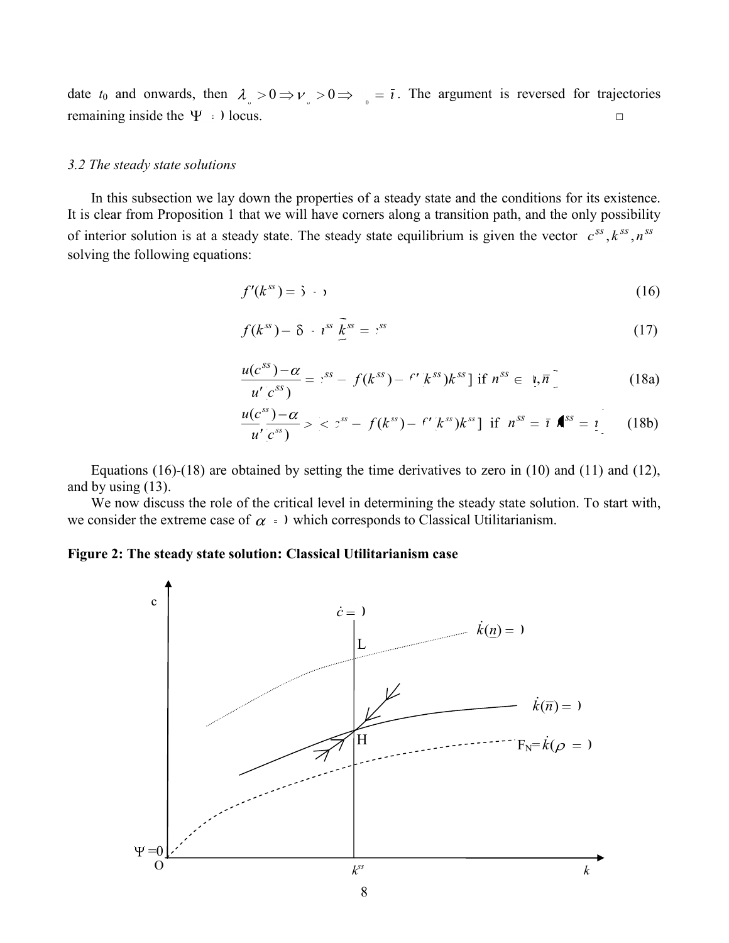date  $t_0$  and onwards, then  $\lambda_{n} > 0 \Rightarrow v_{n} > 0 \Rightarrow \lambda_{n} = \overline{i}$ . The argument is reversed for trajectories remaining inside the  $\Psi$  : )  $locus.$ 

### *3.2 The steady state solutions*

In this subsection we lay down the properties of a steady state and the conditions for its existence. It is clear from Proposition 1 that we will have corners along a transition path, and the only possibility of interior solution is at a steady state. The steady state equilibrium is given the vector  $c^{ss}$ ,  $k^{ss}$ ,  $n^{ss}$ solving the following equations:

$$
f'(k^s) = \mathfrak{z} \quad (16)
$$

$$
f(k^{ss}) - \delta \cdot i^{ss} \overline{k}^{ss} = z^{ss} \tag{17}
$$

$$
\frac{u(c^{ss})-\alpha}{u'c^{ss}} = x^{ss} - f(k^{ss}) - f'(k^{ss})k^{ss} \text{ if } n^{ss} \in \mathfrak{t}, \overline{n} \tag{18a}
$$

$$
\frac{u(c^{ss})-\alpha}{u'(c^{ss})} > (c^{ss}-f(k^{ss})-f'(k^{ss})k^{ss}) \text{ if } n^{ss} = \overline{\imath} \mathbf{A}^{ss} = \underline{\imath} \qquad (18b)
$$

Equations (16)-(18) are obtained by setting the time derivatives to zero in (10) and (11) and (12), and by using (13).

We now discuss the role of the critical level in determining the steady state solution. To start with, we consider the extreme case of  $\alpha = 0$  which corresponds to Classical Utilitarianism.

### **Figure 2: The steady state solution: Classical Utilitarianism case**

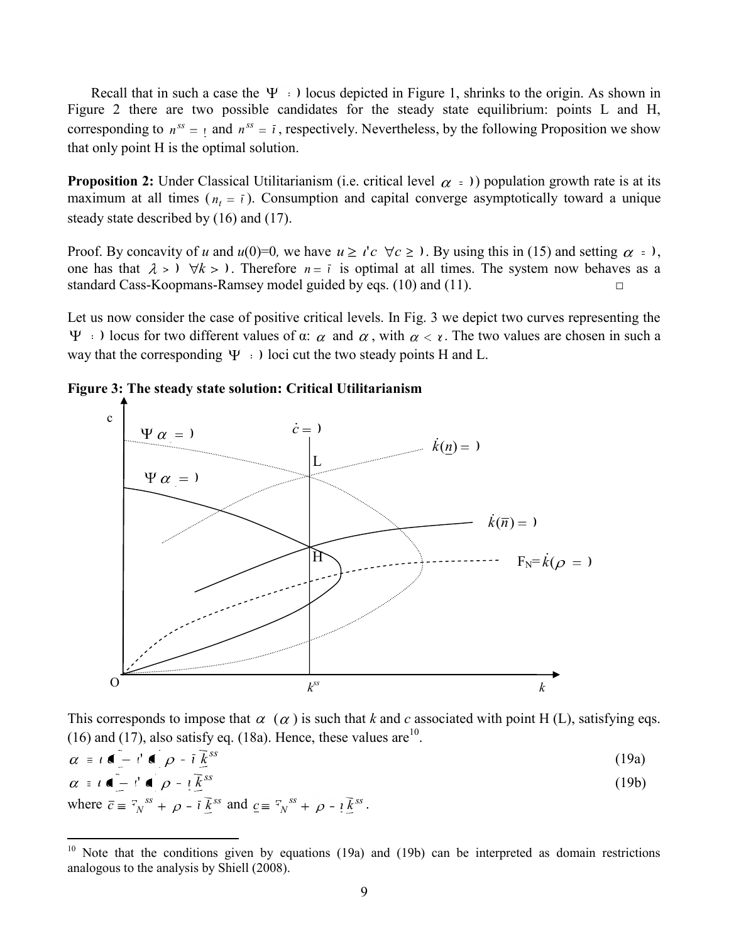Recall that in such a case the  $\Psi$   $\mapsto$  locus depicted in Figure 1, shrinks to the origin. As shown in Figure 2 there are two possible candidates for the steady state equilibrium: points L and H, corresponding to  $n^{ss} = i$  and  $n^{ss} = i$ , respectively. Nevertheless, by the following Proposition we show that only point H is the optimal solution.

**Proposition 2:** Under Classical Utilitarianism (i.e. critical level  $\alpha = 0$ ) population growth rate is at its maximum at all times  $(n_t = \bar{i})$ . Consumption and capital converge asymptotically toward a unique steady state described by (16) and (17).

Proof. By concavity of *u* and  $u(0)=0$ , we have  $u \geq v'c \quad \forall c \geq 0$ . By using this in (15) and setting  $\alpha = 0$ , one has that  $\lambda > 0$   $\forall k > 0$ . Therefore  $n = \overline{i}$  is optimal at all times. The system now behaves as a standard Cass-Koopmans-Ramsey model guided by eqs.  $(10)$  and  $(11)$ .

Let us now consider the case of positive critical levels. In Fig. 3 we depict two curves representing the ) locus for two different values of α:  $\alpha$  and  $\alpha$ , with  $\alpha < \alpha$ . The two values are chosen in such a way that the corresponding  $\Psi$  : ) loci cut the two steady points H and L.





 $\overline{a}$ 

This corresponds to impose that  $\alpha$  ( $\alpha$ ) is such that *k* and *c* associated with point H (L), satisfying eqs. (16) and (17), also satisfy eq. (18a). Hence, these values are  $10<sup>10</sup>$ .

$$
\alpha = \iota \bullet - i' \bullet \rho - i \overline{k}^{ss}
$$
\n
$$
\alpha = \iota \bullet - i' \bullet \rho - i \overline{k}^{ss}
$$
\n
$$
\alpha = \iota \bullet - i' \bullet \rho - i \overline{k}^{ss}
$$
\n
$$
\text{where } \overline{c} \equiv \overline{\gamma}_N^{ss} + \rho - i \overline{k}^{ss} \text{ and } \underline{c} \equiv \overline{\gamma}_N^{ss} + \rho - i \overline{k}^{ss}.
$$
\n(19a)

Note that the conditions given by equations (19a) and (19b) can be interpreted as domain restrictions analogous to the analysis by Shiell (2008).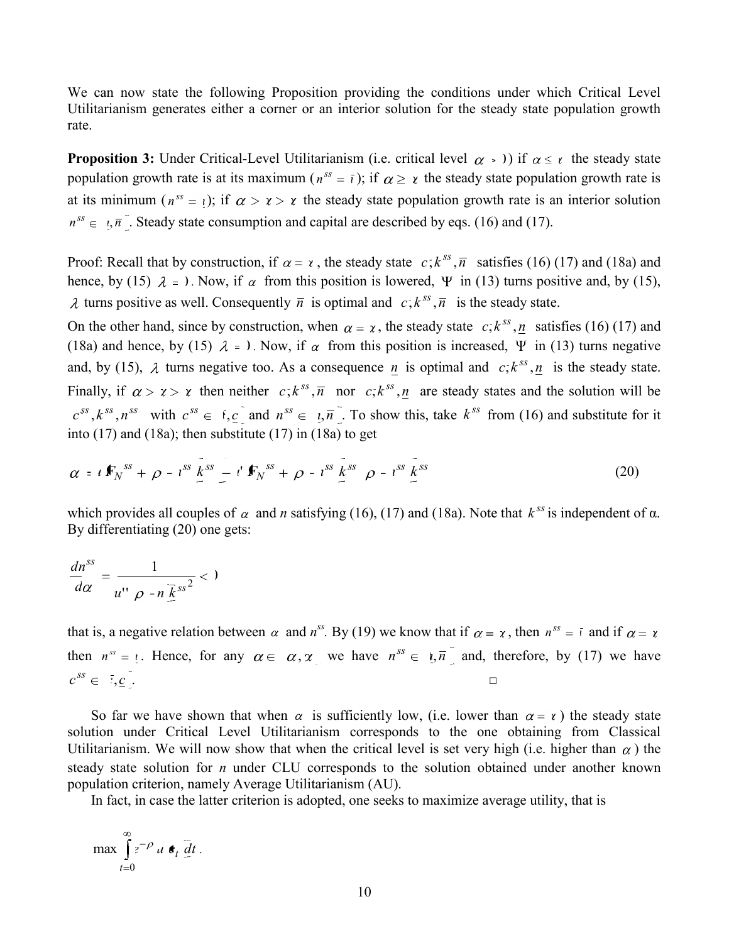We can now state the following Proposition providing the conditions under which Critical Level Utilitarianism generates either a corner or an interior solution for the steady state population growth rate.

**Proposition 3:** Under Critical-Level Utilitarianism (i.e. critical level  $\alpha \rightarrow 0$ ) if  $\alpha \leq \alpha$  the steady state population growth rate is at its maximum ( $n^{ss} = \bar{i}$ ); if  $\alpha \geq \bar{i}$  the steady state population growth rate is at its minimum  $(n^{ss} = i)$ ; if  $\alpha > x > x$  the steady state population growth rate is an interior solution  $n^{ss} \in \mathbb{R}, \overline{n}$ . Steady state consumption and capital are described by eqs. (16) and (17).

Proof: Recall that by construction, if  $\alpha = \alpha$ , the steady state  $c, k^{ss}, \overline{n}$  satisfies (16) (17) and (18a) and hence, by (15)  $\lambda = 0$ . Now, if  $\alpha$  from this position is lowered,  $\Psi$  in (13) turns positive and, by (15), turns positive as well. Consequently  $\bar{n}$  is optimal and  $c, k^{ss}, \bar{n}$  is the steady state.

On the other hand, since by construction, when  $\alpha = \alpha$ , the steady state  $c, k^{ss}, n$  satisfies (16) (17) and (18a) and hence, by (15)  $\lambda = 1$ . Now, if  $\alpha$  from this position is increased,  $\Psi$  in (13) turns negative and, by (15),  $\lambda$  turns negative too. As a consequence *n* is optimal and  $c, k^{ss}, n$  is the steady state. Finally, if  $\alpha > \alpha > \alpha$  then neither  $c, k^{ss}, \overline{n}$  nor  $c, k^{ss}, \underline{n}$  are steady states and the solution will be  $c^{ss}$ ,  $k^{ss}$ ,  $n^{ss}$  with  $c^{ss} \in \mathfrak{k}, c$  and  $n^{ss} \in \mathfrak{k}, \overline{n}$ . To show this, take  $k^{ss}$  from (16) and substitute for it into  $(17)$  and  $(18a)$ ; then substitute  $(17)$  in  $(18a)$  to get

$$
\alpha = \iota \mathbf{F}_N^{ss} + \rho - \iota^{ss} \underline{k}^{ss} - \iota^{\prime} \mathbf{F}_N^{ss} + \rho - \iota^{ss} \underline{k}^{ss} \rho - \iota^{ss} \underline{k}^{ss}
$$
 (20)

which provides all couples of  $\alpha$  and *n* satisfying (16), (17) and (18a). Note that  $k^{ss}$  is independent of  $\alpha$ . By differentiating (20) one gets:

$$
\frac{dn^{ss}}{d\alpha} = \frac{1}{u'' \rho - n \underline{k}^{ss^2}} < 1
$$

that is, a negative relation between  $\alpha$  and  $n^{ss}$ . By (19) we know that if  $\alpha = \alpha$ , then  $n^{ss} = \overline{i}$  and if then  $n^{ss} = i$ . Hence, for any  $\alpha \in \alpha, \alpha$  we have  $n^{ss} \in i, \overline{n}$  and, therefore, by (17) we have  $c^{ss} \in \mathfrak{f}, \underline{c}$ ,  $c$  .

So far we have shown that when  $\alpha$  is sufficiently low, (i.e. lower than  $\alpha = \alpha$ ) the steady state solution under Critical Level Utilitarianism corresponds to the one obtaining from Classical Utilitarianism. We will now show that when the critical level is set very high (i.e. higher than  $\alpha$ ) the steady state solution for *n* under CLU corresponds to the solution obtained under another known population criterion, namely Average Utilitarianism (AU).

In fact, in case the latter criterion is adopted, one seeks to maximize average utility, that is

$$
\max \int_{t=0}^{\infty} e^{-\rho} \, u \, \mathbf{e}_t \, \overline{d}t \, .
$$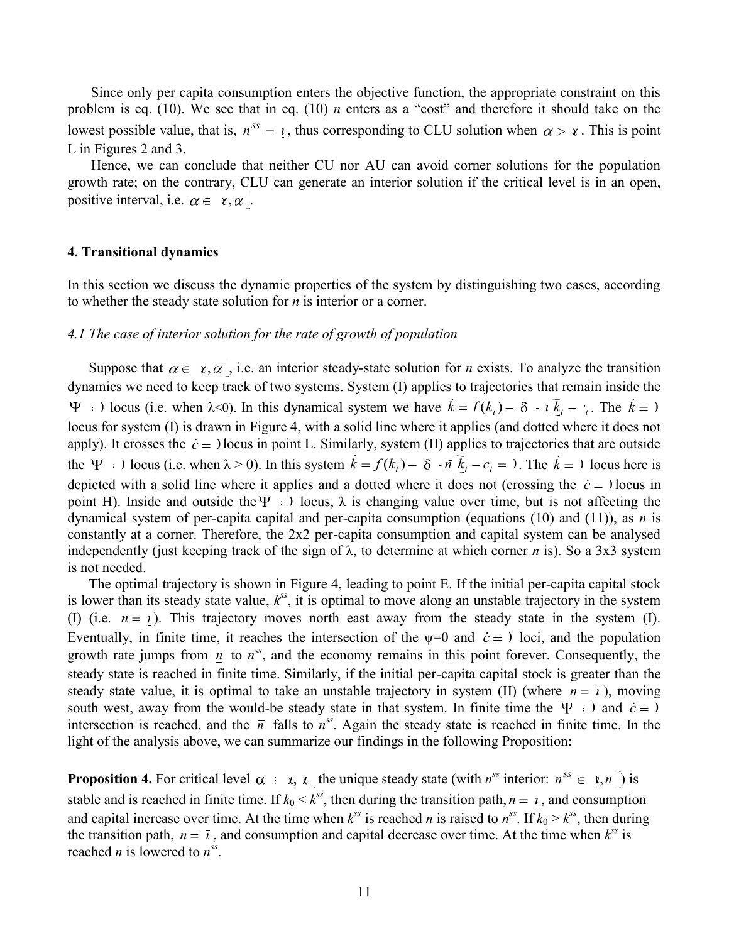Since only per capita consumption enters the objective function, the appropriate constraint on this problem is eq. (10). We see that in eq. (10) *n* enters as a "cost" and therefore it should take on the lowest possible value, that is,  $n^{ss} = i$ , thus corresponding to CLU solution when  $\alpha > i$ . This is point L in Figures 2 and 3.

Hence, we can conclude that neither CU nor AU can avoid corner solutions for the population growth rate; on the contrary, CLU can generate an interior solution if the critical level is in an open, positive interval, i.e.  $\alpha \in \alpha$ ,  $\alpha$ .

### **4. Transitional dynamics**

In this section we discuss the dynamic properties of the system by distinguishing two cases, according to whether the steady state solution for *n* is interior or a corner.

### *4.1 The case of interior solution for the rate of growth of population*

Suppose that  $\alpha \in \chi, \alpha$ , i.e. an interior steady-state solution for *n* exists. To analyze the transition dynamics we need to keep track of two systems. System (I) applies to trajectories that remain inside the b locus (i.e. when λ<0). In this dynamical system we have  $\vec{k} = f(k_t) - δ \cdot \vec{1} \cdot \vec{k}_t - \vec{i}_t$ . The  $\vec{k} = 0$ locus for system (I) is drawn in Figure 4, with a solid line where it applies (and dotted where it does not apply). It crosses the  $\dot{c} = 0$  locus in point L. Similarly, system (II) applies to trajectories that are outside the  $\Psi$  : ) locus (i.e. when  $\lambda > 0$ ). In this system  $\dot{k} = f(k_t) - \delta \cdot \bar{n} \cdot \vec{k}_t - c_t = 1$ . The  $\dot{k} = 1$  locus here is depicted with a solid line where it applies and a dotted where it does not (crossing the  $\dot{c}$  = ) locus in point H). Inside and outside the  $\Psi \cdot$  locus,  $\lambda$  is changing value over time, but is not affecting the dynamical system of per-capita capital and per-capita consumption (equations (10) and (11)), as *n* is constantly at a corner. Therefore, the 2x2 per-capita consumption and capital system can be analysed independently (just keeping track of the sign of  $\lambda$ , to determine at which corner *n* is). So a 3x3 system is not needed.

The optimal trajectory is shown in Figure 4, leading to point E. If the initial per-capita capital stock is lower than its steady state value,  $k^{ss}$ , it is optimal to move along an unstable trajectory in the system (I) (i.e.  $n = i$ ). This trajectory moves north east away from the steady state in the system (I). Eventually, in finite time, it reaches the intersection of the  $\psi=0$  and  $\dot{c}=0$  loci, and the population growth rate jumps from  $n \neq n$  to  $n^{ss}$ , and the economy remains in this point forever. Consequently, the steady state is reached in finite time. Similarly, if the initial per-capita capital stock is greater than the steady state value, it is optimal to take an unstable trajectory in system (II) (where  $n = \bar{i}$ ), moving south west, away from the would-be steady state in that system. In finite time the  $\Psi$  : ) and  $\dot{c} = 0$ intersection is reached, and the  $\bar{n}$  falls to  $n^{ss}$ . Again the steady state is reached in finite time. In the light of the analysis above, we can summarize our findings in the following Proposition:

**Proposition 4.** For critical level  $\alpha = x$ , x the unique steady state (with  $n^{ss}$  interior:  $n^{ss} \in \mathfrak{k}, \overline{n}$ ) is stable and is reached in finite time. If  $k_0 < k^{ss}$ , then during the transition path,  $n = 1/2$ , and consumption and capital increase over time. At the time when  $k^{ss}$  is reached *n* is raised to  $n^{ss}$ . If  $k_0 > k^{ss}$ , then during the transition path,  $n = \bar{i}$ , and consumption and capital decrease over time. At the time when  $k^{ss}$  is reached *n* is lowered to  $n^{ss}$ .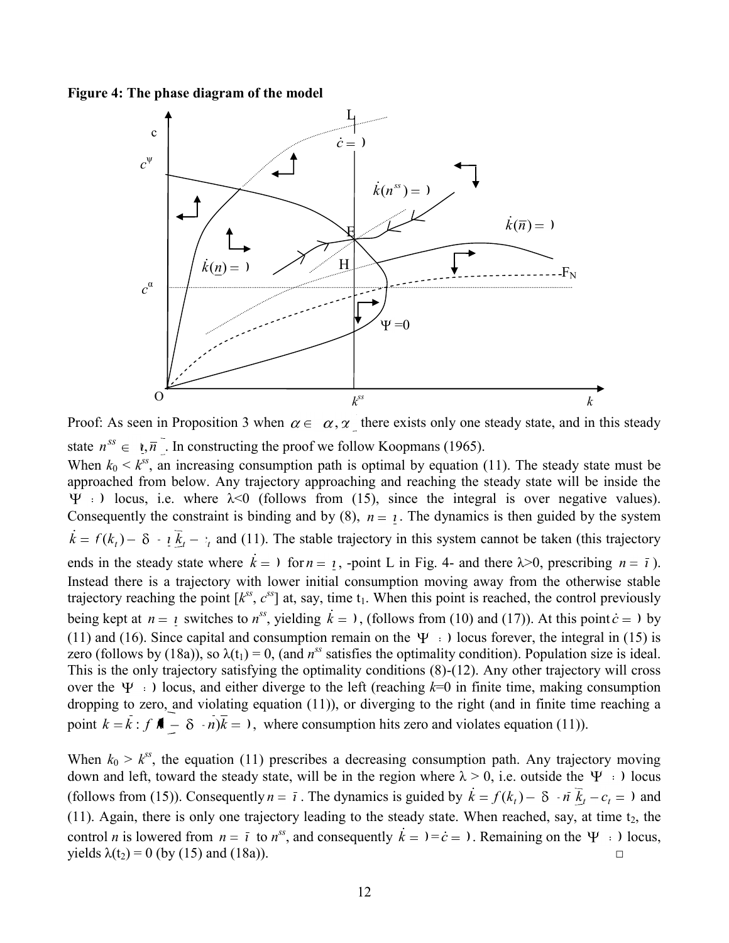**Figure 4: The phase diagram of the model**



Proof: As seen in Proposition 3 when  $\alpha \in \alpha$ ,  $\alpha$  there exists only one steady state, and in this steady state  $n^{ss} \in \ell, \overline{n}$ . In constructing the proof we follow Koopmans (1965).

When  $k_0 < k^{ss}$ , an increasing consumption path is optimal by equation (11). The steady state must be approached from below. Any trajectory approaching and reaching the steady state will be inside the ) locus, i.e. where  $λ < 0$  (follows from (15), since the integral is over negative values). Consequently the constraint is binding and by (8),  $n = i$ . The dynamics is then guided by the system  $\dot{k} = f(k_t) - \delta - i \overline{k}_t - i_t$  and (11). The stable trajectory in this system cannot be taken (this trajectory ends in the steady state where  $\vec{k} = 0$  for  $n = 1$ , -point L in Fig. 4- and there  $\lambda > 0$ , prescribing  $n = \bar{i}$ ). Instead there is a trajectory with lower initial consumption moving away from the otherwise stable trajectory reaching the point  $[k^{ss}, c^{ss}]$  at, say, time  $t_1$ . When this point is reached, the control previously being kept at  $n = i$  switches to  $n^{ss}$ , yielding  $\dot{k} = 1$ , (follows from (10) and (17)). At this point  $\dot{c} = 1$  by (11) and (16). Since capital and consumption remain on the  $\Psi$  : ) locus forever, the integral in (15) is zero (follows by (18a)), so  $\lambda(t_1) = 0$ , (and  $n^{ss}$  satisfies the optimality condition). Population size is ideal. This is the only trajectory satisfying the optimality conditions (8)-(12). Any other trajectory will cross over the  $\Psi$  : ) locus, and either diverge to the left (reaching  $k=0$  in finite time, making consumption dropping to zero, and violating equation (11)), or diverging to the right (and in finite time reaching a point  $k = k : f \mathbf{A} - \delta \cdot n$ ) $k = 1$ , where consumption hits zero and violates equation (11)).

When  $k_0 > k^{ss}$ , the equation (11) prescribes a decreasing consumption path. Any trajectory moving down and left, toward the steady state, will be in the region where  $\lambda > 0$ , i.e. outside the  $\Psi \rightarrow 0$  locus (follows from (15)). Consequently  $n = \bar{i}$ . The dynamics is guided by  $\dot{k} = f(k_t) - \delta \cdot \bar{n} \cdot \vec{k}_t - c_t = 0$  and (11). Again, there is only one trajectory leading to the steady state. When reached, say, at time  $t_2$ , the control *n* is lowered from  $n = \bar{i}$  to  $n^{ss}$ , and consequently  $\dot{k} = \dot{j} = \dot{c} = 0$ . Remaining on the  $\Psi \rightarrow 0$  locus, yields  $\lambda(t_2) = 0$  (by (15) and (18a)).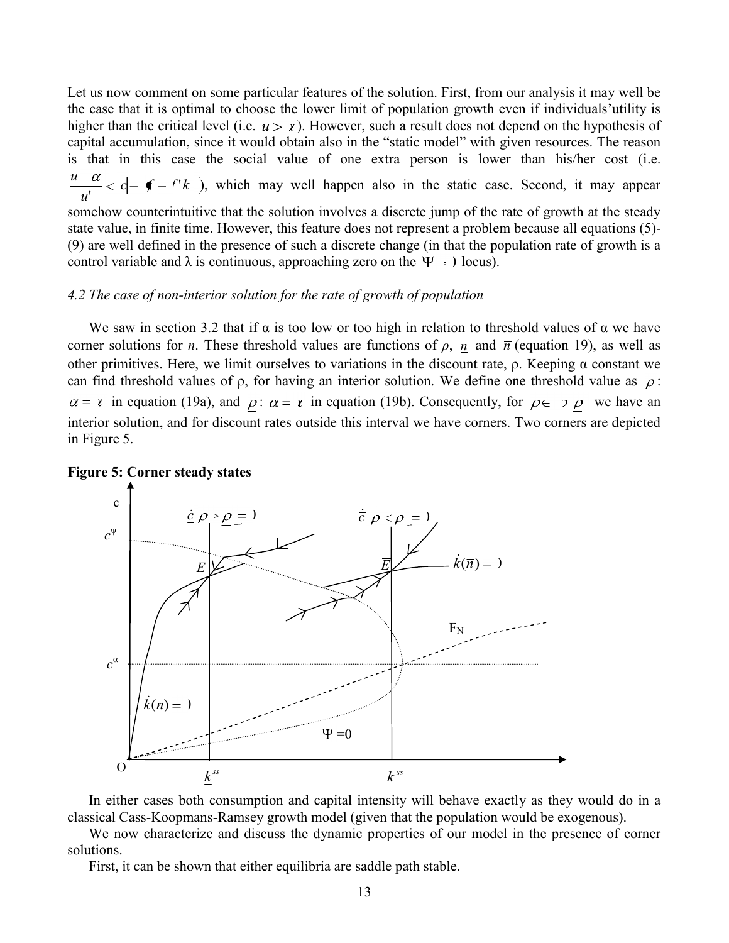Let us now comment on some particular features of the solution. First, from our analysis it may well be the case that it is optimal to choose the lower limit of population growth even if individuals"utility is higher than the critical level (i.e.  $u > x$ ). However, such a result does not depend on the hypothesis of capital accumulation, since it would obtain also in the "static model" with given resources. The reason is that in this case the social value of one extra person is lower than his/her cost (i.e.  $c - f - f'k$ *u*  $\frac{u-a}{v} < d - f - f'k$ ), which may well happen also in the static case. Second, it may appear somehow counterintuitive that the solution involves a discrete jump of the rate of growth at the steady state value, in finite time. However, this feature does not represent a problem because all equations (5)- (9) are well defined in the presence of such a discrete change (in that the population rate of growth is a

#### *4.2 The case of non-interior solution for the rate of growth of population*

control variable and  $\lambda$  is continuous, approaching zero on the  $\Psi$  : ) locus).

We saw in section 3.2 that if  $\alpha$  is too low or too high in relation to threshold values of  $\alpha$  we have corner solutions for *n*. These threshold values are functions of  $\rho$ ,  $n \neq n$  and  $\bar{n}$  (equation 19), as well as other primitives. Here, we limit ourselves to variations in the discount rate,  $\rho$ . Keeping  $\alpha$  constant we can find threshold values of  $\rho$ , for having an interior solution. We define one threshold value as  $\rho$ : in equation (19a), and  $\rho$ :  $\alpha = \gamma$  in equation (19b). Consequently, for  $\rho \in \mathcal{P}$  we have an interior solution, and for discount rates outside this interval we have corners. Two corners are depicted in Figure 5.



#### **Figure 5: Corner steady states**

In either cases both consumption and capital intensity will behave exactly as they would do in a classical Cass-Koopmans-Ramsey growth model (given that the population would be exogenous).

We now characterize and discuss the dynamic properties of our model in the presence of corner solutions.

First, it can be shown that either equilibria are saddle path stable.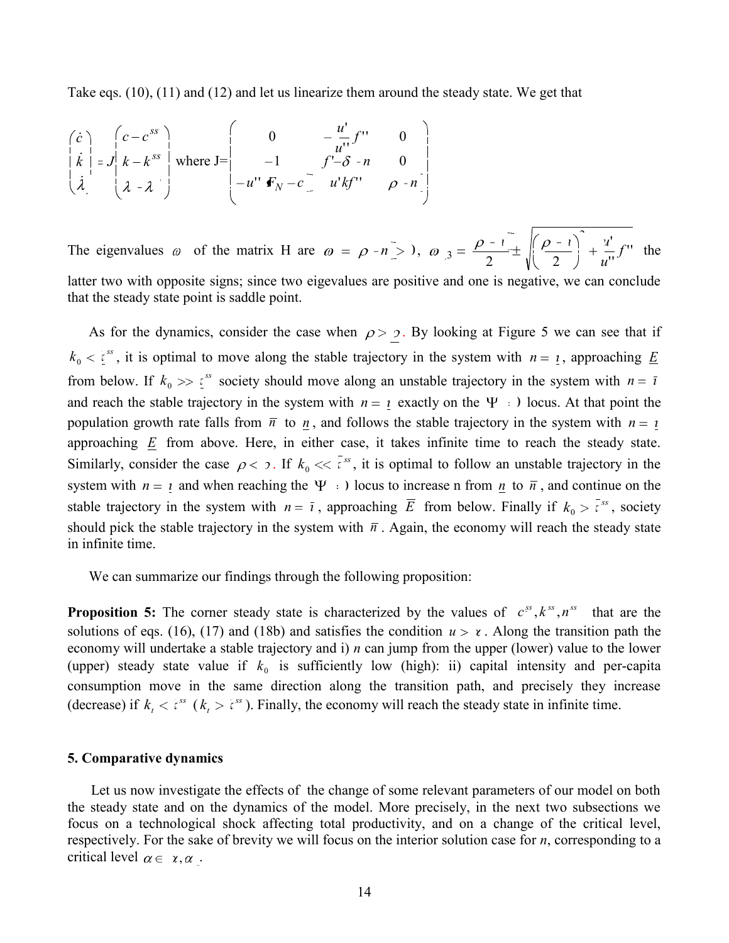Take eqs. (10), (11) and (12) and let us linearize them around the steady state. We get that

$$
\begin{pmatrix} \n\dot{c} \\
\dot{k} \\
\dot{k} \\
\dot{l}\n\end{pmatrix} = J \begin{pmatrix} c - c^{ss} \\
k - k^{ss} \\
\lambda - \lambda\n\end{pmatrix}
$$
 where  $J = \begin{pmatrix} 0 & -\frac{u'}{u''} f'' & 0 \\
-1 & f' - \delta - n & 0 \\
-u'' \mathbf{F}_N - c \mathbf{F}_N & -\frac{u'}{u' k f''} & \rho - n \end{pmatrix}$ 

The eigenvalues  $\omega$  of the matrix H are  $\omega = \rho - n > 0$ ,  $\omega_{3} = \frac{\rho - 1}{2} + \frac{1}{2} \left| \frac{\rho - 1}{2} \right| + \frac{\pi}{2} f''$  $\frac{1}{2}$  +  $\sqrt{\frac{\rho - i}{2}}$  +  $\frac{u'}{u''}$  $\hat{ }$  $\frac{1}{2}$ , 3 =  $\frac{p}{2}$  +  $\frac{p}{2}$  +  $\frac{p}{2}$  +  $\frac{p}{2}$  +  $\frac{p}{2}$ *u*  $\frac{1}{x}$   $\left(\frac{\rho - i}{x}\right)$  +  $\frac{u'}{u}f''$  the latter two with opposite signs; since two eigevalues are positive and one is negative, we can conclude that the steady state point is saddle point.

As for the dynamics, consider the case when  $\rho > 0$ . By looking at Figure 5 we can see that if  $k_0 < \frac{1}{2}$  is optimal to move along the stable trajectory in the system with  $n = 1$ , approaching  $\underline{E}$ from below. If  $k_0 \gg \frac{1}{2}$  society should move along an unstable trajectory in the system with  $n = \bar{i}$ and reach the stable trajectory in the system with  $n = i$  exactly on the  $\Psi$  : ) locus. At that point the population growth rate falls from  $\bar{n}$  to  $n$ , and follows the stable trajectory in the system with  $n = n$ approaching  $E$  from above. Here, in either case, it takes infinite time to reach the steady state. Similarly, consider the case  $\rho < \rho$ . If  $k_0 \ll \overline{\zeta}^{ss}$ , it is optimal to follow an unstable trajectory in the system with  $n = i$  and when reaching the  $\Psi$  : ) locus to increase n from  $n \neq 0$  and continue on the stable trajectory in the system with  $n = \bar{i}$ , approaching  $\bar{E}$  from below. Finally if  $k_0 > \bar{i}^{ss}$ , society should pick the stable trajectory in the system with  $\bar{n}$ . Again, the economy will reach the steady state in infinite time.

We can summarize our findings through the following proposition:

**Proposition 5:** The corner steady state is characterized by the values of  $c^{ss}$ ,  $k^{ss}$ ,  $n^{ss}$  that are the solutions of eqs. (16), (17) and (18b) and satisfies the condition  $u > v$ . Along the transition path the economy will undertake a stable trajectory and i) *n* can jump from the upper (lower) value to the lower (upper) steady state value if  $k_0$  is sufficiently low (high): ii) capital intensity and per-capita consumption move in the same direction along the transition path, and precisely they increase (decrease) if  $k_t < \zeta^{ss}$  $k_t < \tau^{ss}$  ( $k_t > \tau^{ss}$  $k_t > t^{ss}$ ). Finally, the economy will reach the steady state in infinite time.

#### **5. Comparative dynamics**

Let us now investigate the effects of the change of some relevant parameters of our model on both the steady state and on the dynamics of the model. More precisely, in the next two subsections we focus on a technological shock affecting total productivity, and on a change of the critical level, respectively. For the sake of brevity we will focus on the interior solution case for *n*, corresponding to a critical level  $\alpha \in \alpha$ ,  $\alpha$ .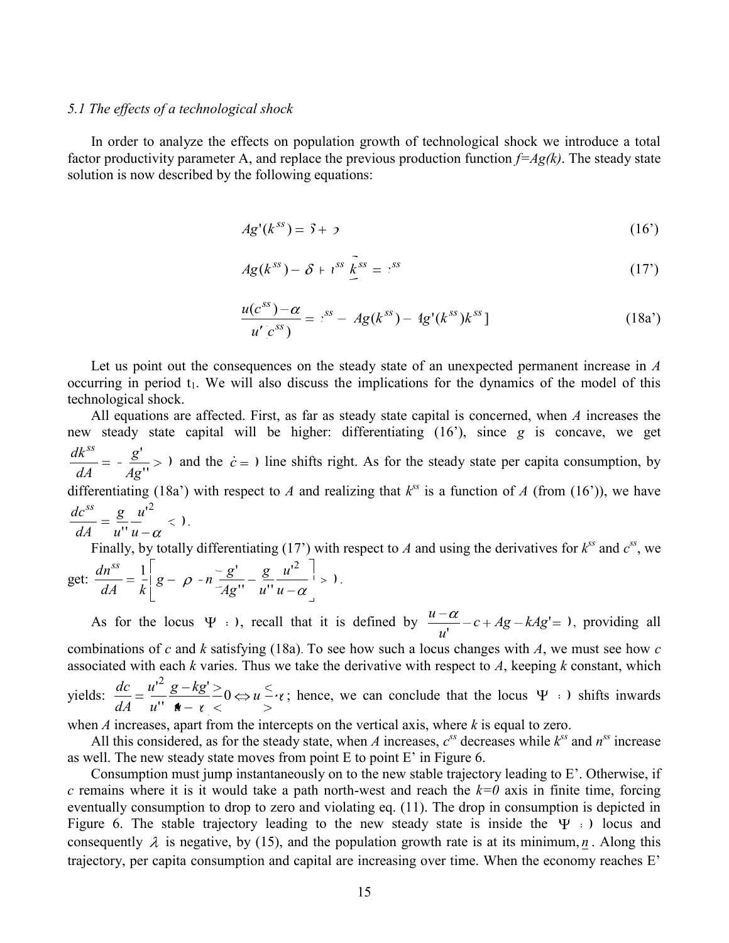### *5.1 The effects of a technological shock*

In order to analyze the effects on population growth of technological shock we introduce a total factor productivity parameter A, and replace the previous production function *f=Ag(k)*. The steady state solution is now described by the following equations:

$$
Ag'(k^{ss}) = 5 + 2 \tag{16'}
$$

$$
Ag(k^{ss}) - \delta + i^{ss} k^{ss} = z^{ss}
$$
 (17)

$$
\frac{u(c^{ss})-\alpha}{u'c^{ss}} = z^{ss} - Ag(k^{ss}) - 4g'(k^{ss})k^{ss}
$$
 (18a')

Let us point out the consequences on the steady state of an unexpected permanent increase in *A* occurring in period  $t_1$ . We will also discuss the implications for the dynamics of the model of this technological shock.

All equations are affected. First, as far as steady state capital is concerned, when *A* increases the new steady state capital will be higher: differentiating (16"), since *g* is concave, we get  $\frac{1}{11}$  >  $\frac{1}{11}$ differentiating (18a') with respect to *A* and realizing that  $k^{ss}$  is a function of *A* (from (16')), we have  $\frac{g'}{Ag'}$ *g dA*  $\frac{dk^{ss}}{dt} = -\frac{g'}{du} > 0$  and the  $\dot{c} = 0$  line shifts right. As for the steady state per capita consumption, by  $\frac{12}{10}$   $<$   $\frac{1}{2}$ ''Finally, by totally differentiating (17') with respect to *A* and using the derivatives for  $k^{ss}$  and  $c^{ss}$ , we 2 *u u u g dA*  $\frac{dc^{ss}}{ds} = \frac{g}{u} \frac{u'^2}{s} < 1$ .

get: 
$$
\frac{dn^{ss}}{dA} = \frac{1}{k} \left[ g - \rho - n \frac{g'}{-Ag''} - \frac{g}{u''} \frac{u'^2}{u - \alpha} \right] > 0
$$

As for the locus  $\Psi$  : ), recall that it is defined by  $\frac{d\mathbf{a}}{dt} - c + Ag - kAg = 0$ *u*  $\frac{u-\alpha}{u}$  –  $c + Ag - kAg' = 1$ , providing all combinations of *c* and *k* satisfying (18a). To see how such a locus changes with *A*, we must see how *c* associated with each *k* varies. Thus we take the derivative with respect to *A*, keeping *k* constant, which yields:  $\frac{ac}{dx} = \frac{u}{u} \frac{g}{g} \frac{g}{g} \frac{g}{g} \leq 0 \Leftrightarrow u$ *u g kg u u dA*  $\frac{dc}{dt} = \frac{u'^2}{u} \frac{g - kg'}{g} \ge 0$ '' $\mathbf{r}$ ; hence, we can conclude that the locus  $\Psi$  : ) shifts inwards

.

when *A* increases, apart from the intercepts on the vertical axis, where *k* is equal to zero.

All this considered, as for the steady state, when *A* increases,  $c^{ss}$  decreases while  $k^{ss}$  and  $n^{ss}$  increase as well. The new steady state moves from point  $E$  to point  $E'$  in Figure 6.

Consumption must jump instantaneously on to the new stable trajectory leading to E". Otherwise, if *c* remains where it is it would take a path north-west and reach the  $k=0$  axis in finite time, forcing eventually consumption to drop to zero and violating eq. (11). The drop in consumption is depicted in Figure 6. The stable trajectory leading to the new steady state is inside the  $\Psi$  : ) locus and consequently  $\lambda$  is negative, by (15), and the population growth rate is at its minimum,  $n$ . Along this trajectory, per capita consumption and capital are increasing over time. When the economy reaches E"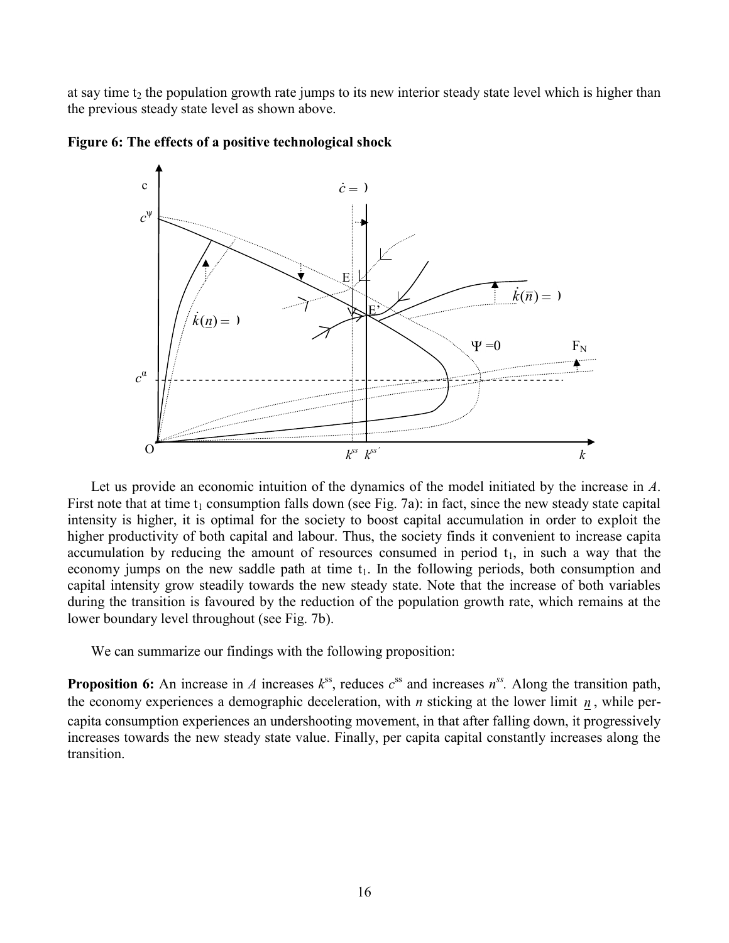at say time  $t_2$  the population growth rate jumps to its new interior steady state level which is higher than the previous steady state level as shown above.



**Figure 6: The effects of a positive technological shock**

Let us provide an economic intuition of the dynamics of the model initiated by the increase in *A*. First note that at time  $t_1$  consumption falls down (see Fig. 7a): in fact, since the new steady state capital intensity is higher, it is optimal for the society to boost capital accumulation in order to exploit the higher productivity of both capital and labour. Thus, the society finds it convenient to increase capita accumulation by reducing the amount of resources consumed in period  $t_1$ , in such a way that the economy jumps on the new saddle path at time  $t_1$ . In the following periods, both consumption and capital intensity grow steadily towards the new steady state. Note that the increase of both variables during the transition is favoured by the reduction of the population growth rate, which remains at the lower boundary level throughout (see Fig. 7b).

We can summarize our findings with the following proposition:

**Proposition 6:** An increase in *A* increases  $k^{ss}$ , reduces  $c^{ss}$  and increases  $n^{ss}$ . Along the transition path, the economy experiences a demographic deceleration, with  $n$  sticking at the lower limit  $n$ , while percapita consumption experiences an undershooting movement, in that after falling down, it progressively increases towards the new steady state value. Finally, per capita capital constantly increases along the transition.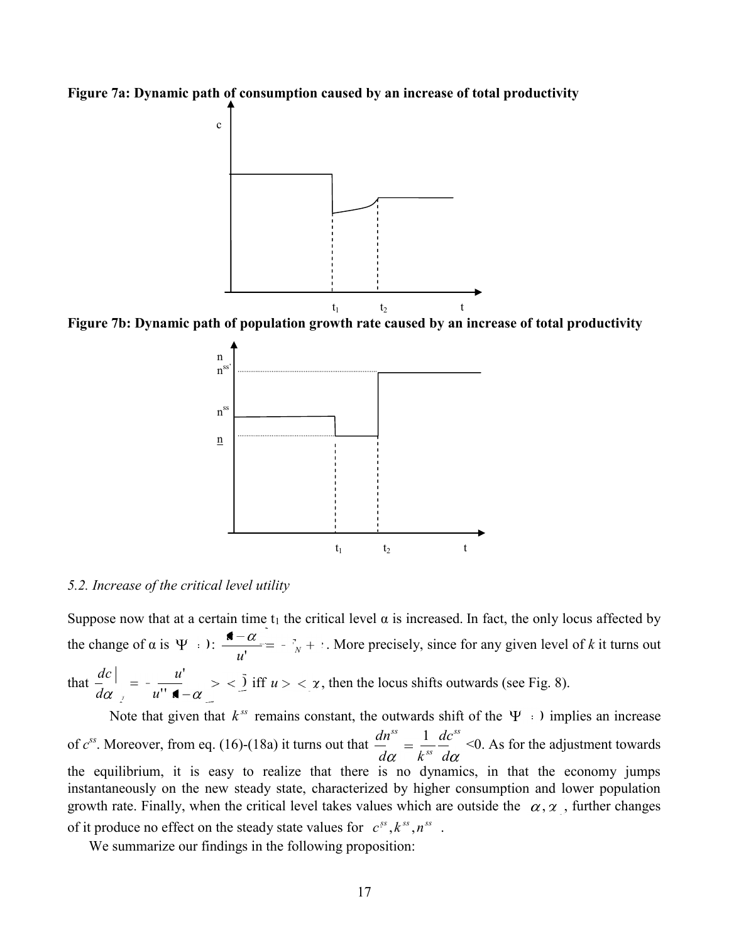**Figure 7a: Dynamic path of consumption caused by an increase of total productivity** 



**Figure 7b: Dynamic path of population growth rate caused by an increase of total productivity** 



### *5.2. Increase of the critical level utility*

Suppose now that at a certain time  $t_1$  the critical level  $\alpha$  is increased. In fact, the only locus affected by the change of  $\alpha$  is  $\Psi$  : ):  $\frac{d\alpha}{dx} = -\frac{d\alpha}{dx} + \frac{1}{2}$ *u u*  $\frac{\alpha}{N}$  =  $\frac{N}{N}$  + : More precisely, since for any given level of *k* it turns out that  $\frac{dC}{d\alpha}$  =  $-\frac{u}{u'' \cdot 1 - \alpha}$  > < 0  $\frac{u'}{u'' \cdot 1}$ *u d*  $\left| \begin{array}{c} \frac{dc}{d} \\ \frac{dv}{d\lambda} \end{array} \right| = -\frac{u'}{u}$  > > > iff  $u > \lambda$ , then the locus shifts outwards (see Fig. 8).

Note that given that  $k^{ss}$  remains constant, the outwards shift of the  $\Psi :$  implies an increase of  $c^{ss}$ . Moreover, from eq. (16)-(18a) it turns out that *d dc*  $d\alpha$  *k*  $dn^{ss}$  1  $dc^{ss}$ *ss*  $\frac{ds}{ds} = \frac{1}{\cos \theta} \frac{d\theta^{ss}}{ds} < 0$ . As for the adjustment towards the equilibrium, it is easy to realize that there is no dynamics, in that the economy jumps instantaneously on the new steady state, characterized by higher consumption and lower population growth rate. Finally, when the critical level takes values which are outside the  $\alpha, \alpha$ , further changes of it produce no effect on the steady state values for  $c^{ss}$ ,  $k^{ss}$ ,  $n^{ss}$ .

We summarize our findings in the following proposition: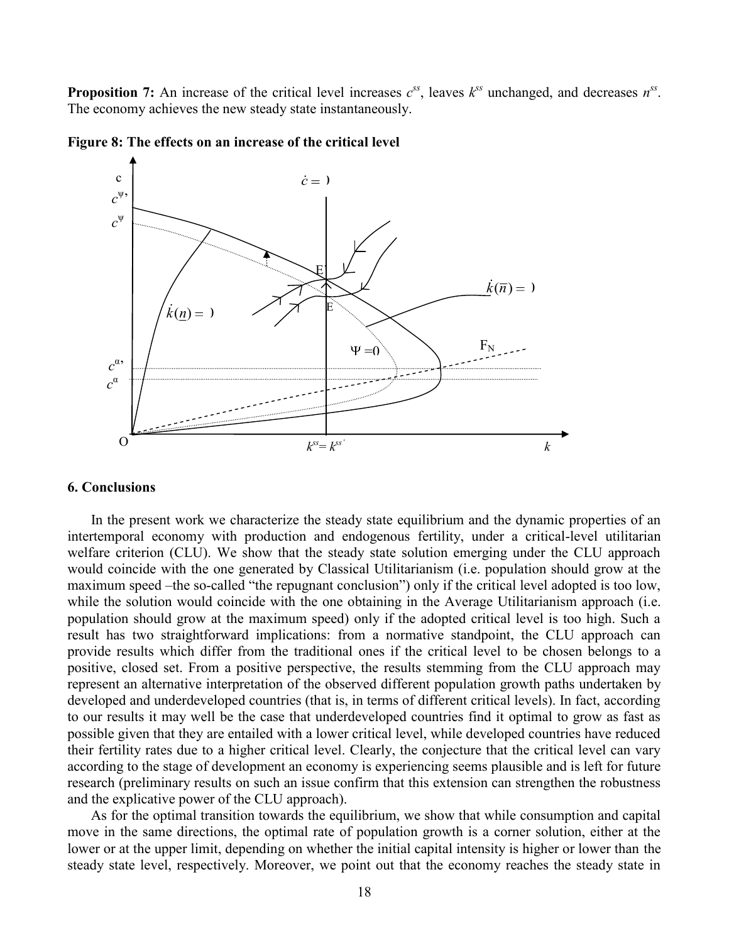**Proposition 7:** An increase of the critical level increases  $c^{ss}$ , leaves  $k^{ss}$  unchanged, and decreases  $n^{ss}$ . The economy achieves the new steady state instantaneously.



**Figure 8: The effects on an increase of the critical level**

#### **6. Conclusions**

In the present work we characterize the steady state equilibrium and the dynamic properties of an intertemporal economy with production and endogenous fertility, under a critical-level utilitarian welfare criterion (CLU). We show that the steady state solution emerging under the CLU approach would coincide with the one generated by Classical Utilitarianism (i.e. population should grow at the maximum speed –the so-called "the repugnant conclusion") only if the critical level adopted is too low, while the solution would coincide with the one obtaining in the Average Utilitarianism approach (i.e. population should grow at the maximum speed) only if the adopted critical level is too high. Such a result has two straightforward implications: from a normative standpoint, the CLU approach can provide results which differ from the traditional ones if the critical level to be chosen belongs to a positive, closed set. From a positive perspective, the results stemming from the CLU approach may represent an alternative interpretation of the observed different population growth paths undertaken by developed and underdeveloped countries (that is, in terms of different critical levels). In fact, according to our results it may well be the case that underdeveloped countries find it optimal to grow as fast as possible given that they are entailed with a lower critical level, while developed countries have reduced their fertility rates due to a higher critical level. Clearly, the conjecture that the critical level can vary according to the stage of development an economy is experiencing seems plausible and is left for future research (preliminary results on such an issue confirm that this extension can strengthen the robustness and the explicative power of the CLU approach).

As for the optimal transition towards the equilibrium, we show that while consumption and capital move in the same directions, the optimal rate of population growth is a corner solution, either at the lower or at the upper limit, depending on whether the initial capital intensity is higher or lower than the steady state level, respectively. Moreover, we point out that the economy reaches the steady state in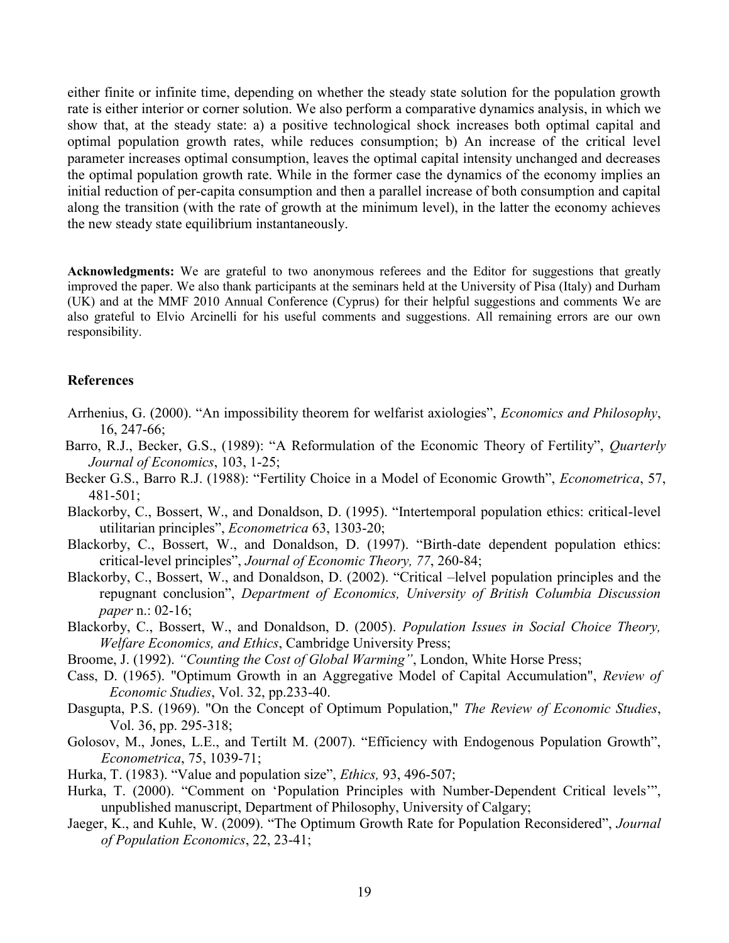either finite or infinite time, depending on whether the steady state solution for the population growth rate is either interior or corner solution. We also perform a comparative dynamics analysis, in which we show that, at the steady state: a) a positive technological shock increases both optimal capital and optimal population growth rates, while reduces consumption; b) An increase of the critical level parameter increases optimal consumption, leaves the optimal capital intensity unchanged and decreases the optimal population growth rate. While in the former case the dynamics of the economy implies an initial reduction of per-capita consumption and then a parallel increase of both consumption and capital along the transition (with the rate of growth at the minimum level), in the latter the economy achieves the new steady state equilibrium instantaneously.

**Acknowledgments:** We are grateful to two anonymous referees and the Editor for suggestions that greatly improved the paper. We also thank participants at the seminars held at the University of Pisa (Italy) and Durham (UK) and at the MMF 2010 Annual Conference (Cyprus) for their helpful suggestions and comments We are also grateful to Elvio Arcinelli for his useful comments and suggestions. All remaining errors are our own responsibility.

### **References**

- Arrhenius, G. (2000). "An impossibility theorem for welfarist axiologies", *Economics and Philosophy*, 16, 247-66;
- Barro, R.J., Becker, G.S., (1989): "A Reformulation of the Economic Theory of Fertility", *Quarterly Journal of Economics*, 103, 1-25;
- Becker G.S., Barro R.J. (1988): "Fertility Choice in a Model of Economic Growth", *Econometrica*, 57, 481-501;
- Blackorby, C., Bossert, W., and Donaldson, D. (1995). "Intertemporal population ethics: critical-level utilitarian principles", *Econometrica* 63, 1303-20;
- Blackorby, C., Bossert, W., and Donaldson, D. (1997). "Birth-date dependent population ethics: critical-level principles", *Journal of Economic Theory, 77*, 260-84;
- Blackorby, C., Bossert, W., and Donaldson, D. (2002). "Critical –lelvel population principles and the repugnant conclusion", *Department of Economics, University of British Columbia Discussion paper* n.: 02-16;
- Blackorby, C., Bossert, W., and Donaldson, D. (2005). *Population Issues in Social Choice Theory, Welfare Economics, and Ethics*, Cambridge University Press;
- Broome, J. (1992). *"Counting the Cost of Global Warming"*, London, White Horse Press;
- Cass, D. (1965). "Optimum Growth in an Aggregative Model of Capital Accumulation", *Review of Economic Studies*, Vol. 32, pp.233-40.
- Dasgupta, P.S. (1969). "On the Concept of Optimum Population," *The Review of Economic Studies*, Vol. 36, pp. 295-318;
- Golosov, M., Jones, L.E., and Tertilt M. (2007). "Efficiency with Endogenous Population Growth", *Econometrica*, 75, 1039-71;
- Hurka, T. (1983). "Value and population size", *Ethics,* 93, 496-507;
- Hurka, T. (2000). "Comment on "Population Principles with Number-Dependent Critical levels"", unpublished manuscript, Department of Philosophy, University of Calgary;
- Jaeger, K., and Kuhle, W. (2009). "The Optimum Growth Rate for Population Reconsidered", *Journal of Population Economics*, 22, 23-41;